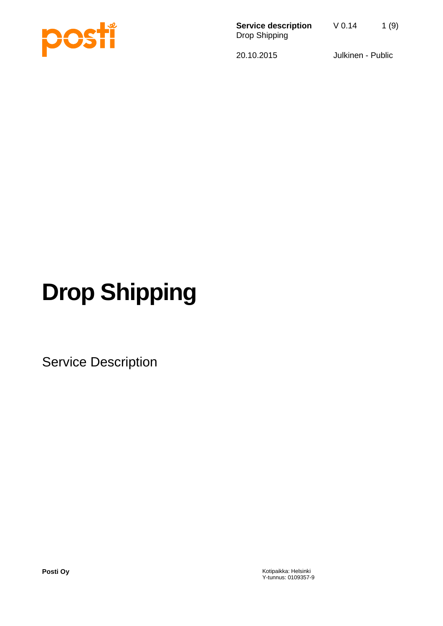

**Service description**  $\sqrt{0.14}$  1 (9) Drop Shipping

20.10.2015 Julkinen - Public

# **Drop Shipping**

Service Description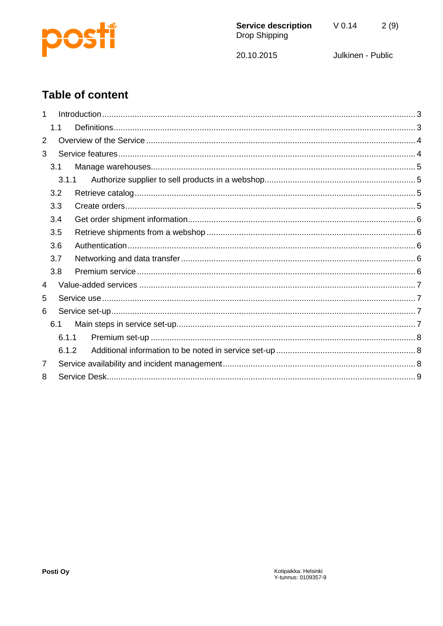

 $2(9)$ 

20.10.2015

Julkinen - Public

# **Table of content**

|   | 1.1 |       |  |  |  |
|---|-----|-------|--|--|--|
| 2 |     |       |  |  |  |
| 3 |     |       |  |  |  |
|   | 3.1 |       |  |  |  |
|   |     | 3.1.1 |  |  |  |
|   | 3.2 |       |  |  |  |
|   | 3.3 |       |  |  |  |
|   | 3.4 |       |  |  |  |
|   | 3.5 |       |  |  |  |
|   | 3.6 |       |  |  |  |
|   | 3.7 |       |  |  |  |
|   | 3.8 |       |  |  |  |
| 4 |     |       |  |  |  |
| 5 |     |       |  |  |  |
| 6 |     |       |  |  |  |
|   | 6.1 |       |  |  |  |
|   |     | 6.1.1 |  |  |  |
|   |     | 6.1.2 |  |  |  |
| 7 |     |       |  |  |  |
| 8 |     |       |  |  |  |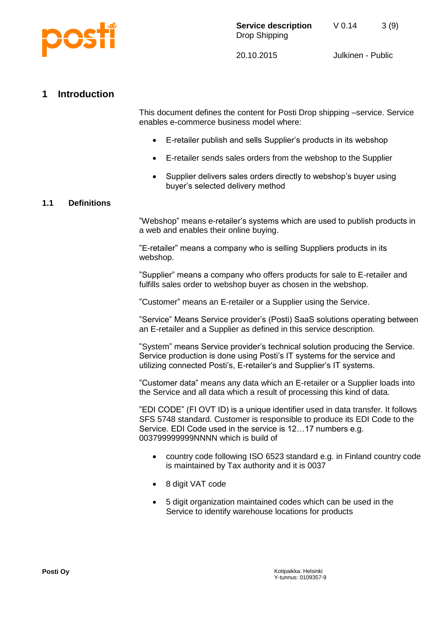

# <span id="page-2-0"></span>**1 Introduction**

This document defines the content for Posti Drop shipping –service. Service enables e-commerce business model where:

- E-retailer publish and sells Supplier's products in its webshop
- E-retailer sends sales orders from the webshop to the Supplier
- Supplier delivers sales orders directly to webshop's buyer using buyer's selected delivery method

# <span id="page-2-1"></span>**1.1 Definitions**

"Webshop" means e-retailer's systems which are used to publish products in a web and enables their online buying.

"E-retailer" means a company who is selling Suppliers products in its webshop.

"Supplier" means a company who offers products for sale to E-retailer and fulfills sales order to webshop buyer as chosen in the webshop.

"Customer" means an E-retailer or a Supplier using the Service.

"Service" Means Service provider's (Posti) SaaS solutions operating between an E-retailer and a Supplier as defined in this service description.

"System" means Service provider's technical solution producing the Service. Service production is done using Posti's IT systems for the service and utilizing connected Posti's, E-retailer's and Supplier's IT systems.

"Customer data" means any data which an E-retailer or a Supplier loads into the Service and all data which a result of processing this kind of data.

"EDI CODE" (FI OVT ID) is a unique identifier used in data transfer. It follows SFS 5748 standard. Customer is responsible to produce its EDI Code to the Service. EDI Code used in the service is 12…17 numbers e.g. 003799999999NNNN which is build of

- country code following ISO 6523 standard e.g. in Finland country code is maintained by Tax authority and it is 0037
- 8 digit VAT code
- 5 digit organization maintained codes which can be used in the Service to identify warehouse locations for products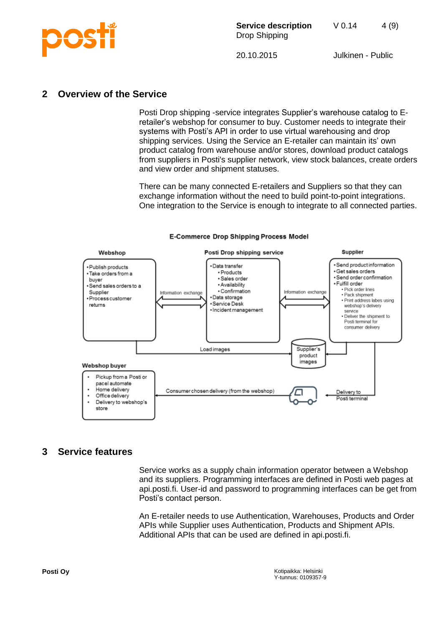

# <span id="page-3-0"></span>**2 Overview of the Service**

Posti Drop shipping -service integrates Supplier's warehouse catalog to Eretailer's webshop for consumer to buy. Customer needs to integrate their systems with Posti's API in order to use virtual warehousing and drop shipping services. Using the Service an E-retailer can maintain its' own product catalog from warehouse and/or stores, download product catalogs from suppliers in Posti's supplier network, view stock balances, create orders and view order and shipment statuses.

There can be many connected E-retailers and Suppliers so that they can exchange information without the need to build point-to-point integrations. One integration to the Service is enough to integrate to all connected parties.



#### **E-Commerce Drop Shipping Process Model**

# <span id="page-3-1"></span>**3 Service features**

Service works as a supply chain information operator between a Webshop and its suppliers. Programming interfaces are defined in Posti web pages at api.posti.fi. User-id and password to programming interfaces can be get from Posti's contact person.

An E-retailer needs to use Authentication, Warehouses, Products and Order APIs while Supplier uses Authentication, Products and Shipment APIs. Additional APIs that can be used are defined in api.posti.fi.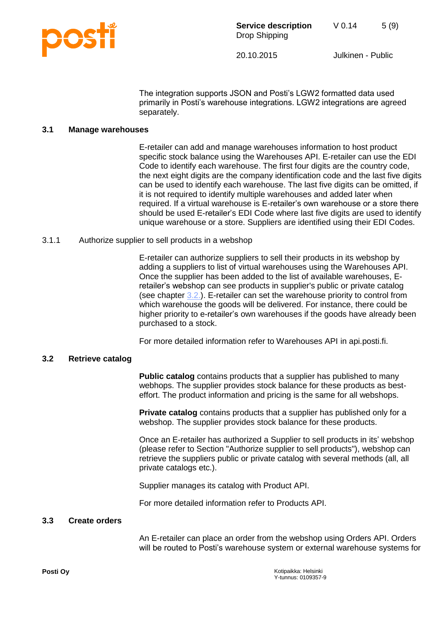

The integration supports JSON and Posti's LGW2 formatted data used primarily in Posti's warehouse integrations. LGW2 integrations are agreed separately.

# <span id="page-4-0"></span>**3.1 Manage warehouses**

E-retailer can add and manage warehouses information to host product specific stock balance using the Warehouses API. E-retailer can use the EDI Code to identify each warehouse. The first four digits are the country code, the next eight digits are the company identification code and the last five digits can be used to identify each warehouse. The last five digits can be omitted, if it is not required to identify multiple warehouses and added later when required. If a virtual warehouse is E-retailer's own warehouse or a store there should be used E-retailer's EDI Code where last five digits are used to identify unique warehouse or a store. Suppliers are identified using their EDI Codes.

# <span id="page-4-1"></span>3.1.1 Authorize supplier to sell products in a webshop

E-retailer can authorize suppliers to sell their products in its webshop by adding a suppliers to list of virtual warehouses using the Warehouses API. Once the supplier has been added to the list of available warehouses, Eretailer's webshop can see products in supplier's public or private catalog (see chapter [3.2.\)](#page-4-2). E-retailer can set the warehouse priority to control from which warehouse the goods will be delivered. For instance, there could be higher priority to e-retailer's own warehouses if the goods have already been purchased to a stock.

For more detailed information refer to Warehouses API in api.posti.fi.

# <span id="page-4-2"></span>**3.2 Retrieve catalog**

**Public catalog** contains products that a supplier has published to many webhops. The supplier provides stock balance for these products as besteffort. The product information and pricing is the same for all webshops.

**Private catalog** contains products that a supplier has published only for a webshop. The supplier provides stock balance for these products.

Once an E-retailer has authorized a Supplier to sell products in its' webshop (please refer to Section "Authorize supplier to sell products"), webshop can retrieve the suppliers public or private catalog with several methods (all, all private catalogs etc.).

Supplier manages its catalog with Product API.

For more detailed information refer to Products API.

#### <span id="page-4-3"></span>**3.3 Create orders**

An E-retailer can place an order from the webshop using Orders API. Orders will be routed to Posti's warehouse system or external warehouse systems for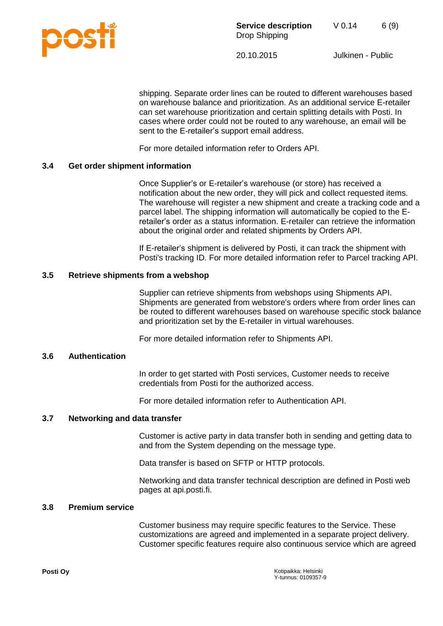

shipping. Separate order lines can be routed to different warehouses based on warehouse balance and prioritization. As an additional service E-retailer can set warehouse prioritization and certain splitting details with Posti. In cases where order could not be routed to any warehouse, an email will be sent to the E-retailer's support email address.

For more detailed information refer to Orders API.

# <span id="page-5-0"></span>**3.4 Get order shipment information**

Once Supplier's or E-retailer's warehouse (or store) has received a notification about the new order, they will pick and collect requested items. The warehouse will register a new shipment and create a tracking code and a parcel label. The shipping information will automatically be copied to the Eretailer's order as a status information. E-retailer can retrieve the information about the original order and related shipments by Orders API.

If E-retailer's shipment is delivered by Posti, it can track the shipment with Posti's tracking ID. For more detailed information refer to Parcel tracking API.

# <span id="page-5-1"></span>**3.5 Retrieve shipments from a webshop**

Supplier can retrieve shipments from webshops using Shipments API. Shipments are generated from webstore's orders where from order lines can be routed to different warehouses based on warehouse specific stock balance and prioritization set by the E-retailer in virtual warehouses.

For more detailed information refer to Shipments API.

# <span id="page-5-2"></span>**3.6 Authentication**

In order to get started with Posti services, Customer needs to receive credentials from Posti for the authorized access.

For more detailed information refer to Authentication API.

# <span id="page-5-3"></span>**3.7 Networking and data transfer**

Customer is active party in data transfer both in sending and getting data to and from the System depending on the message type.

Data transfer is based on SFTP or HTTP protocols.

Networking and data transfer technical description are defined in Posti web pages at api.posti.fi.

#### <span id="page-5-4"></span>**3.8 Premium service**

Customer business may require specific features to the Service. These customizations are agreed and implemented in a separate project delivery. Customer specific features require also continuous service which are agreed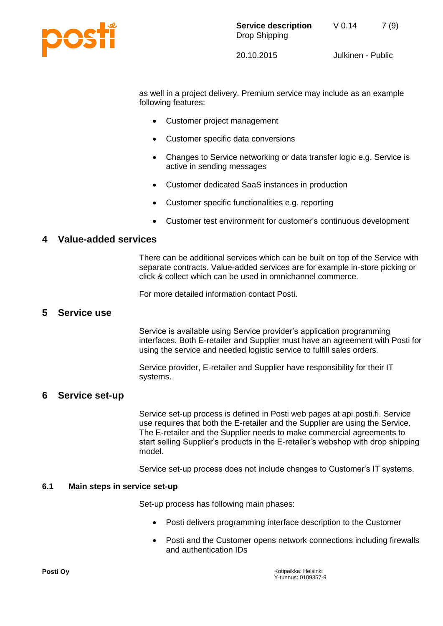

as well in a project delivery. Premium service may include as an example following features:

- Customer project management
- Customer specific data conversions
- Changes to Service networking or data transfer logic e.g. Service is active in sending messages
- Customer dedicated SaaS instances in production
- Customer specific functionalities e.g. reporting
- Customer test environment for customer's continuous development

# <span id="page-6-0"></span>**4 Value-added services**

There can be additional services which can be built on top of the Service with separate contracts. Value-added services are for example in-store picking or click & collect which can be used in omnichannel commerce.

For more detailed information contact Posti.

# <span id="page-6-1"></span>**5 Service use**

Service is available using Service provider's application programming interfaces. Both E-retailer and Supplier must have an agreement with Posti for using the service and needed logistic service to fulfill sales orders.

Service provider, E-retailer and Supplier have responsibility for their IT systems.

# <span id="page-6-2"></span>**6 Service set-up**

Service set-up process is defined in Posti web pages at api.posti.fi. Service use requires that both the E-retailer and the Supplier are using the Service. The E-retailer and the Supplier needs to make commercial agreements to start selling Supplier's products in the E-retailer's webshop with drop shipping model.

Service set-up process does not include changes to Customer's IT systems.

#### <span id="page-6-3"></span>**6.1 Main steps in service set-up**

Set-up process has following main phases:

- Posti delivers programming interface description to the Customer
- Posti and the Customer opens network connections including firewalls and authentication IDs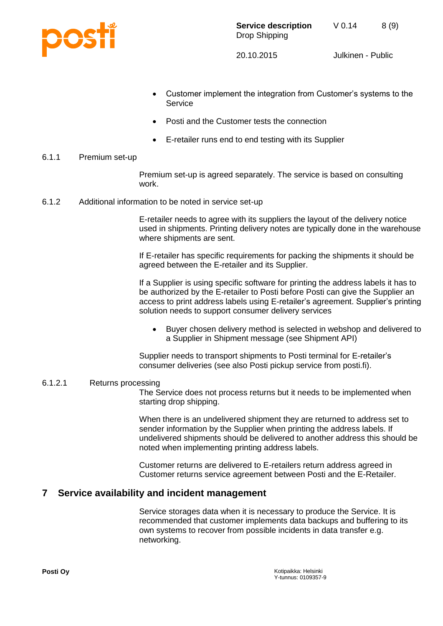

- Customer implement the integration from Customer's systems to the Service
- Posti and the Customer tests the connection
- E-retailer runs end to end testing with its Supplier
- <span id="page-7-0"></span>6.1.1 Premium set-up

Premium set-up is agreed separately. The service is based on consulting work.

<span id="page-7-1"></span>6.1.2 Additional information to be noted in service set-up

E-retailer needs to agree with its suppliers the layout of the delivery notice used in shipments. Printing delivery notes are typically done in the warehouse where shipments are sent.

If E-retailer has specific requirements for packing the shipments it should be agreed between the E-retailer and its Supplier.

If a Supplier is using specific software for printing the address labels it has to be authorized by the E-retailer to Posti before Posti can give the Supplier an access to print address labels using E-retailer's agreement. Supplier's printing solution needs to support consumer delivery services

 Buyer chosen delivery method is selected in webshop and delivered to a Supplier in Shipment message (see Shipment API)

Supplier needs to transport shipments to Posti terminal for E-retailer's consumer deliveries (see also Posti pickup service from posti.fi).

# 6.1.2.1 Returns processing

The Service does not process returns but it needs to be implemented when starting drop shipping.

When there is an undelivered shipment they are returned to address set to sender information by the Supplier when printing the address labels. If undelivered shipments should be delivered to another address this should be noted when implementing printing address labels.

Customer returns are delivered to E-retailers return address agreed in Customer returns service agreement between Posti and the E-Retailer.

# <span id="page-7-2"></span>**7 Service availability and incident management**

Service storages data when it is necessary to produce the Service. It is recommended that customer implements data backups and buffering to its own systems to recover from possible incidents in data transfer e.g. networking.